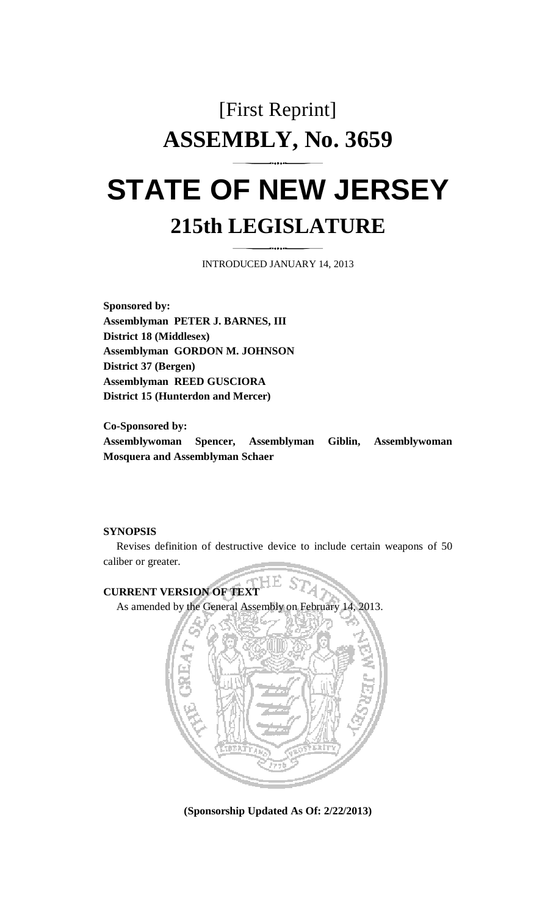# [First Reprint] **ASSEMBLY, No. 3659**

# **STATE OF NEW JERSEY 215th LEGISLATURE**

INTRODUCED JANUARY 14, 2013

**Sponsored by: Assemblyman PETER J. BARNES, III District 18 (Middlesex) Assemblyman GORDON M. JOHNSON District 37 (Bergen) Assemblyman REED GUSCIORA District 15 (Hunterdon and Mercer)** 

**Co-Sponsored by: Assemblywoman Spencer, Assemblyman Giblin, Assemblywoman Mosquera and Assemblyman Schaer** 

## **SYNOPSIS**

 Revises definition of destructive device to include certain weapons of 50 caliber or greater.



**(Sponsorship Updated As Of: 2/22/2013)**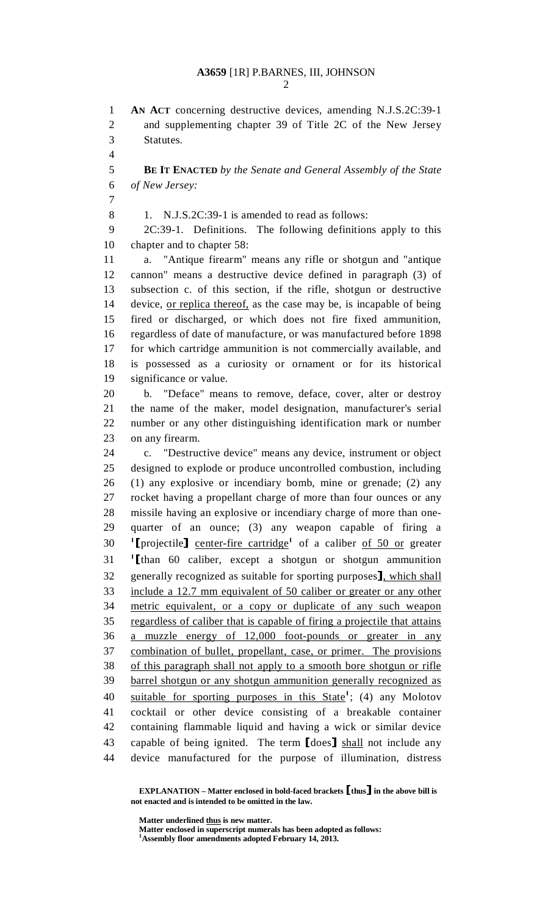1 **AN ACT** concerning destructive devices, amending N.J.S.2C:39-1 2 and supplementing chapter 39 of Title 2C of the New Jersey 3 Statutes. 4 5 **BE IT ENACTED** *by the Senate and General Assembly of the State*  6 *of New Jersey:* 7 8 1. N.J.S.2C:39-1 is amended to read as follows: 9 2C:39-1. Definitions. The following definitions apply to this 10 chapter and to chapter 58: 11 a. "Antique firearm" means any rifle or shotgun and "antique 12 cannon" means a destructive device defined in paragraph (3) of 13 subsection c. of this section, if the rifle, shotgun or destructive 14 device, or replica thereof, as the case may be, is incapable of being 15 fired or discharged, or which does not fire fixed ammunition, 16 regardless of date of manufacture, or was manufactured before 1898 17 for which cartridge ammunition is not commercially available, and 18 is possessed as a curiosity or ornament or for its historical 19 significance or value. 20 b. "Deface" means to remove, deface, cover, alter or destroy 21 the name of the maker, model designation, manufacturer's serial 22 number or any other distinguishing identification mark or number 23 on any firearm. 24 c. "Destructive device" means any device, instrument or object 25 designed to explode or produce uncontrolled combustion, including 26 (1) any explosive or incendiary bomb, mine or grenade; (2) any 27 rocket having a propellant charge of more than four ounces or any 28 missile having an explosive or incendiary charge of more than one-29 quarter of an ounce; (3) any weapon capable of firing a 30 <sup>I</sup> [projectile] <u>center-fire cartridge</u><sup>1</sup> of a caliber <u>of 50 or</u> greater 1  $^1$ [than 60 caliber, except a shotgun or shotgun ammunition<br>32 generally recognized as suitable for sporting purposes], which shall 32 generally recognized as suitable for sporting purposes **]**, which shall<br>33 include a 12.7 mm equivalent of 50 caliber or greater or any other include a 12.7 mm equivalent of 50 caliber or greater or any other 34 metric equivalent, or a copy or duplicate of any such weapon 35 regardless of caliber that is capable of firing a projectile that attains 36 a muzzle energy of 12,000 foot-pounds or greater in any 37 combination of bullet, propellant, case, or primer. The provisions 38 of this paragraph shall not apply to a smooth bore shotgun or rifle 39 barrel shotgun or any shotgun ammunition generally recognized as 40 suitable for sporting purposes in this  $State^1$ ; (4) any Molotov 41 cocktail or other device consisting of a breakable container 42 containing flammable liquid and having a wick or similar device 43 capable of being ignited. The term [does] shall not include any<br>44 device manufactured for the purpose of illumination, distress 44 device manufactured for the purpose of illumination, distress

 **EXPLANATION – Matter enclosed in bold-faced brackets** [**thus**] **in the above bill is not enacted and is intended to be omitted in the law.** 

 **Matter underlined thus is new matter.** 

 **Matter enclosed in superscript numerals has been adopted as follows: 1 Assembly floor amendments adopted February 14, 2013.**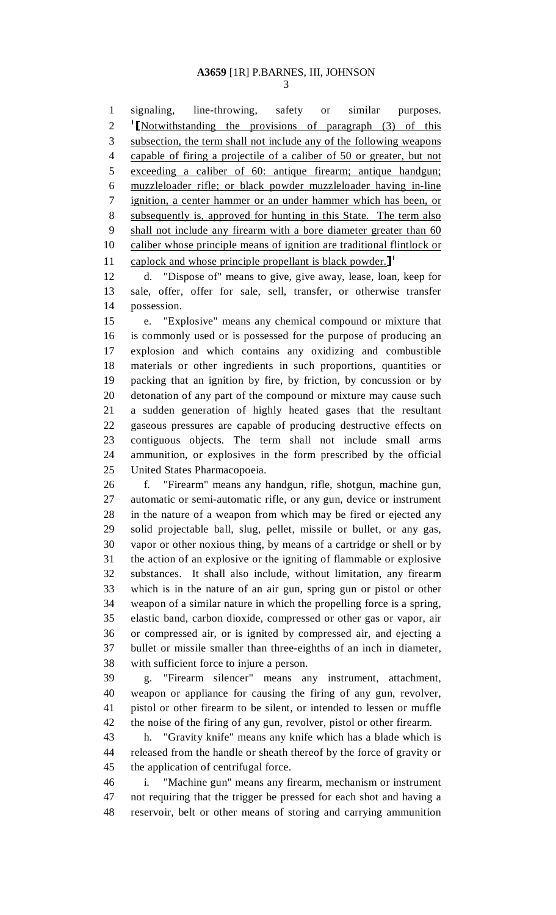3

1 signaling, line-throwing, safety or similar purposes. <sup>1</sup> 2 <sup>1</sup> [Notwithstanding the provisions of paragraph (3) of this subsection, the term shall not include any of the following weapons subsection, the term shall not include any of the following weapons 4 capable of firing a projectile of a caliber of 50 or greater, but not 5 exceeding a caliber of 60: antique firearm; antique handgun; 6 muzzleloader rifle; or black powder muzzleloader having in-line 7 ignition, a center hammer or an under hammer which has been, or 8 subsequently is, approved for hunting in this State. The term also 9 shall not include any firearm with a bore diameter greater than 60 10 caliber whose principle means of ignition are traditional flintlock or caplock and whose principle propellant is black powder.<sup>1</sup><br>12 d. "Dispose of" means to give, give away, lease, loan

"Dispose of" means to give, give away, lease, loan, keep for 13 sale, offer, offer for sale, sell, transfer, or otherwise transfer 14 possession.

15 e. "Explosive" means any chemical compound or mixture that 16 is commonly used or is possessed for the purpose of producing an 17 explosion and which contains any oxidizing and combustible 18 materials or other ingredients in such proportions, quantities or 19 packing that an ignition by fire, by friction, by concussion or by 20 detonation of any part of the compound or mixture may cause such 21 a sudden generation of highly heated gases that the resultant 22 gaseous pressures are capable of producing destructive effects on 23 contiguous objects. The term shall not include small arms 24 ammunition, or explosives in the form prescribed by the official 25 United States Pharmacopoeia.

26 f. "Firearm" means any handgun, rifle, shotgun, machine gun, 27 automatic or semi-automatic rifle, or any gun, device or instrument 28 in the nature of a weapon from which may be fired or ejected any 29 solid projectable ball, slug, pellet, missile or bullet, or any gas, 30 vapor or other noxious thing, by means of a cartridge or shell or by 31 the action of an explosive or the igniting of flammable or explosive 32 substances. It shall also include, without limitation, any firearm 33 which is in the nature of an air gun, spring gun or pistol or other 34 weapon of a similar nature in which the propelling force is a spring, 35 elastic band, carbon dioxide, compressed or other gas or vapor, air 36 or compressed air, or is ignited by compressed air, and ejecting a 37 bullet or missile smaller than three-eighths of an inch in diameter, 38 with sufficient force to injure a person.

39 g. "Firearm silencer" means any instrument, attachment, 40 weapon or appliance for causing the firing of any gun, revolver, 41 pistol or other firearm to be silent, or intended to lessen or muffle 42 the noise of the firing of any gun, revolver, pistol or other firearm.

43 h. "Gravity knife" means any knife which has a blade which is 44 released from the handle or sheath thereof by the force of gravity or 45 the application of centrifugal force.

46 i. "Machine gun" means any firearm, mechanism or instrument 47 not requiring that the trigger be pressed for each shot and having a 48 reservoir, belt or other means of storing and carrying ammunition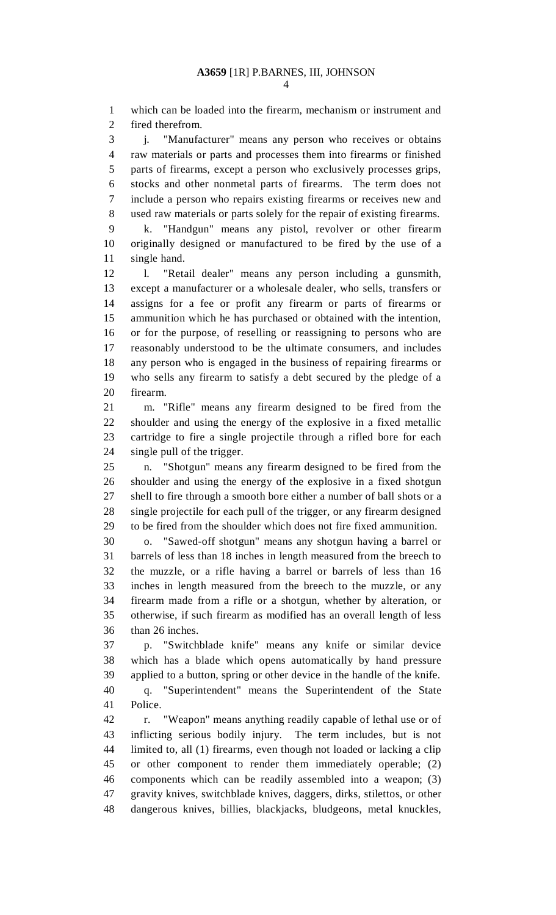1 which can be loaded into the firearm, mechanism or instrument and 2 fired therefrom.

3 j. "Manufacturer" means any person who receives or obtains 4 raw materials or parts and processes them into firearms or finished 5 parts of firearms, except a person who exclusively processes grips, 6 stocks and other nonmetal parts of firearms. The term does not 7 include a person who repairs existing firearms or receives new and 8 used raw materials or parts solely for the repair of existing firearms.

9 k. "Handgun" means any pistol, revolver or other firearm 10 originally designed or manufactured to be fired by the use of a 11 single hand.

12 l. "Retail dealer" means any person including a gunsmith, 13 except a manufacturer or a wholesale dealer, who sells, transfers or 14 assigns for a fee or profit any firearm or parts of firearms or 15 ammunition which he has purchased or obtained with the intention, 16 or for the purpose, of reselling or reassigning to persons who are 17 reasonably understood to be the ultimate consumers, and includes 18 any person who is engaged in the business of repairing firearms or 19 who sells any firearm to satisfy a debt secured by the pledge of a 20 firearm.

21 m. "Rifle" means any firearm designed to be fired from the 22 shoulder and using the energy of the explosive in a fixed metallic 23 cartridge to fire a single projectile through a rifled bore for each 24 single pull of the trigger.

25 n. "Shotgun" means any firearm designed to be fired from the 26 shoulder and using the energy of the explosive in a fixed shotgun 27 shell to fire through a smooth bore either a number of ball shots or a 28 single projectile for each pull of the trigger, or any firearm designed 29 to be fired from the shoulder which does not fire fixed ammunition.

30 o. "Sawed-off shotgun" means any shotgun having a barrel or 31 barrels of less than 18 inches in length measured from the breech to 32 the muzzle, or a rifle having a barrel or barrels of less than 16 33 inches in length measured from the breech to the muzzle, or any 34 firearm made from a rifle or a shotgun, whether by alteration, or 35 otherwise, if such firearm as modified has an overall length of less 36 than 26 inches.

37 p. "Switchblade knife" means any knife or similar device 38 which has a blade which opens automatically by hand pressure 39 applied to a button, spring or other device in the handle of the knife. 40 q. "Superintendent" means the Superintendent of the State 41 Police.

42 r. "Weapon" means anything readily capable of lethal use or of 43 inflicting serious bodily injury. The term includes, but is not 44 limited to, all (1) firearms, even though not loaded or lacking a clip 45 or other component to render them immediately operable; (2) 46 components which can be readily assembled into a weapon; (3) 47 gravity knives, switchblade knives, daggers, dirks, stilettos, or other 48 dangerous knives, billies, blackjacks, bludgeons, metal knuckles,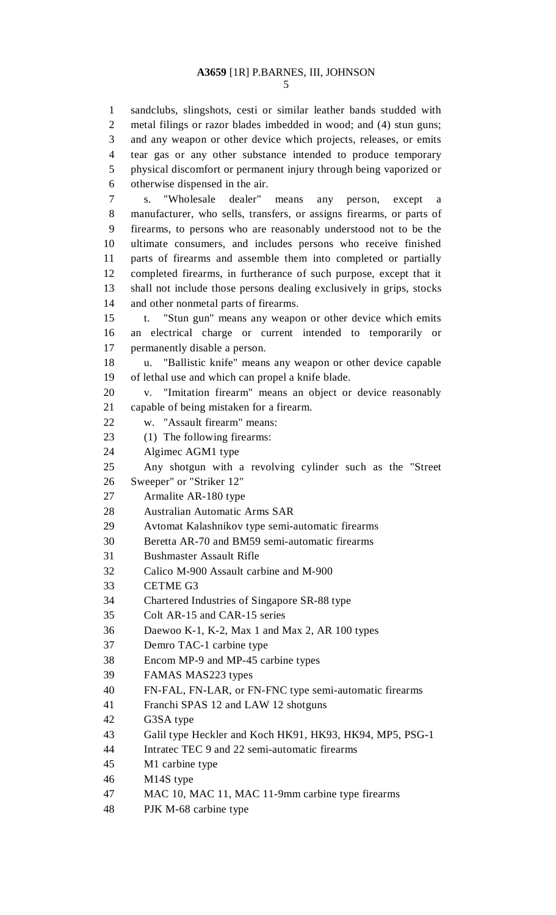5

1 sandclubs, slingshots, cesti or similar leather bands studded with 2 metal filings or razor blades imbedded in wood; and (4) stun guns; 3 and any weapon or other device which projects, releases, or emits 4 tear gas or any other substance intended to produce temporary 5 physical discomfort or permanent injury through being vaporized or 6 otherwise dispensed in the air. 7 s. "Wholesale dealer" means any person, except a 8 manufacturer, who sells, transfers, or assigns firearms, or parts of

9 firearms, to persons who are reasonably understood not to be the 10 ultimate consumers, and includes persons who receive finished 11 parts of firearms and assemble them into completed or partially 12 completed firearms, in furtherance of such purpose, except that it 13 shall not include those persons dealing exclusively in grips, stocks 14 and other nonmetal parts of firearms.

15 t. "Stun gun" means any weapon or other device which emits 16 an electrical charge or current intended to temporarily or 17 permanently disable a person.

18 u. "Ballistic knife" means any weapon or other device capable 19 of lethal use and which can propel a knife blade.

20 v. "Imitation firearm" means an object or device reasonably 21 capable of being mistaken for a firearm.

22 w. "Assault firearm" means:

23 (1) The following firearms:

24 Algimec AGM1 type

25 Any shotgun with a revolving cylinder such as the "Street

26 Sweeper" or "Striker 12"

27 Armalite AR-180 type

28 Australian Automatic Arms SAR

29 Avtomat Kalashnikov type semi-automatic firearms

30 Beretta AR-70 and BM59 semi-automatic firearms

31 Bushmaster Assault Rifle

32 Calico M-900 Assault carbine and M-900

33 CETME G3

34 Chartered Industries of Singapore SR-88 type

35 Colt AR-15 and CAR-15 series

36 Daewoo K-1, K-2, Max 1 and Max 2, AR 100 types

37 Demro TAC-1 carbine type

38 Encom MP-9 and MP-45 carbine types

39 FAMAS MAS223 types

40 FN-FAL, FN-LAR, or FN-FNC type semi-automatic firearms

41 Franchi SPAS 12 and LAW 12 shotguns

42 G3SA type

43 Galil type Heckler and Koch HK91, HK93, HK94, MP5, PSG-1

44 Intratec TEC 9 and 22 semi-automatic firearms

45 M1 carbine type

46 M14S type

47 MAC 10, MAC 11, MAC 11-9mm carbine type firearms

48 PJK M-68 carbine type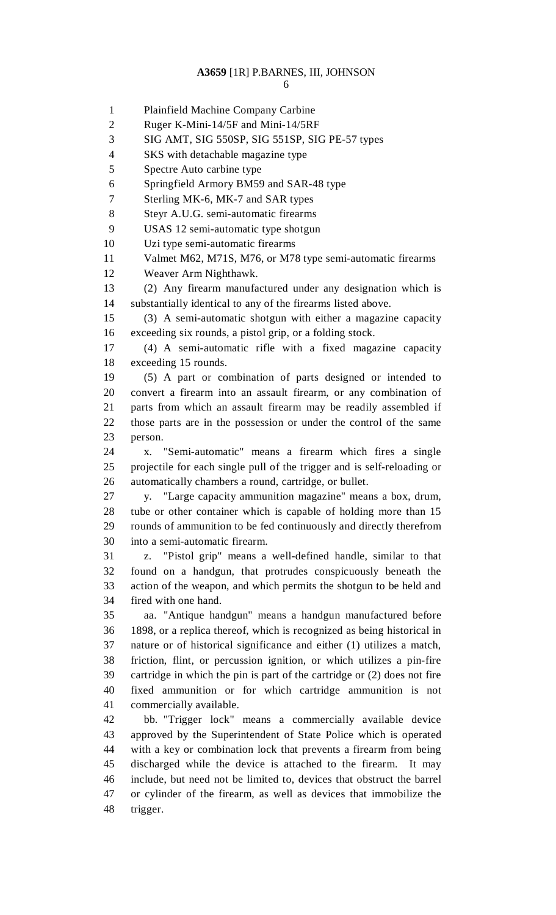1 Plainfield Machine Company Carbine

2 Ruger K-Mini-14/5F and Mini-14/5RF

3 SIG AMT, SIG 550SP, SIG 551SP, SIG PE-57 types

4 SKS with detachable magazine type

5 Spectre Auto carbine type

6 Springfield Armory BM59 and SAR-48 type

7 Sterling MK-6, MK-7 and SAR types

8 Steyr A.U.G. semi-automatic firearms

9 USAS 12 semi-automatic type shotgun

10 Uzi type semi-automatic firearms

11 Valmet M62, M71S, M76, or M78 type semi-automatic firearms

12 Weaver Arm Nighthawk.

13 (2) Any firearm manufactured under any designation which is 14 substantially identical to any of the firearms listed above.

15 (3) A semi-automatic shotgun with either a magazine capacity 16 exceeding six rounds, a pistol grip, or a folding stock.

17 (4) A semi-automatic rifle with a fixed magazine capacity 18 exceeding 15 rounds.

19 (5) A part or combination of parts designed or intended to 20 convert a firearm into an assault firearm, or any combination of 21 parts from which an assault firearm may be readily assembled if 22 those parts are in the possession or under the control of the same 23 person.

24 x. "Semi-automatic" means a firearm which fires a single 25 projectile for each single pull of the trigger and is self-reloading or 26 automatically chambers a round, cartridge, or bullet.

27 y. "Large capacity ammunition magazine" means a box, drum, 28 tube or other container which is capable of holding more than 15 29 rounds of ammunition to be fed continuously and directly therefrom 30 into a semi-automatic firearm.

31 z. "Pistol grip" means a well-defined handle, similar to that 32 found on a handgun, that protrudes conspicuously beneath the 33 action of the weapon, and which permits the shotgun to be held and 34 fired with one hand.

35 aa. "Antique handgun" means a handgun manufactured before 36 1898, or a replica thereof, which is recognized as being historical in 37 nature or of historical significance and either (1) utilizes a match, 38 friction, flint, or percussion ignition, or which utilizes a pin-fire 39 cartridge in which the pin is part of the cartridge or (2) does not fire 40 fixed ammunition or for which cartridge ammunition is not 41 commercially available.

42 bb. "Trigger lock" means a commercially available device 43 approved by the Superintendent of State Police which is operated 44 with a key or combination lock that prevents a firearm from being 45 discharged while the device is attached to the firearm. It may 46 include, but need not be limited to, devices that obstruct the barrel 47 or cylinder of the firearm, as well as devices that immobilize the 48 trigger.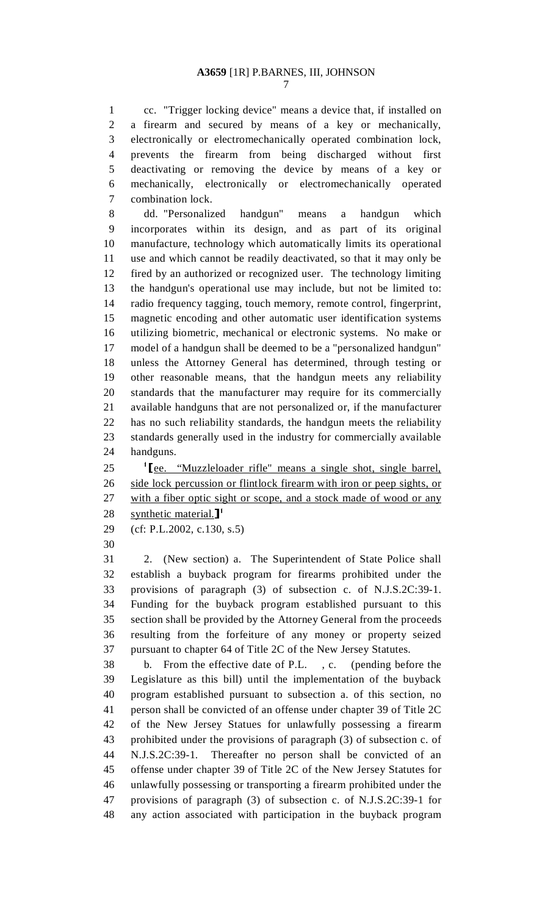1 cc. "Trigger locking device" means a device that, if installed on 2 a firearm and secured by means of a key or mechanically, 3 electronically or electromechanically operated combination lock, 4 prevents the firearm from being discharged without first 5 deactivating or removing the device by means of a key or 6 mechanically, electronically or electromechanically operated 7 combination lock.

8 dd. "Personalized handgun" means a handgun which 9 incorporates within its design, and as part of its original 10 manufacture, technology which automatically limits its operational 11 use and which cannot be readily deactivated, so that it may only be 12 fired by an authorized or recognized user. The technology limiting 13 the handgun's operational use may include, but not be limited to: 14 radio frequency tagging, touch memory, remote control, fingerprint, 15 magnetic encoding and other automatic user identification systems 16 utilizing biometric, mechanical or electronic systems. No make or 17 model of a handgun shall be deemed to be a "personalized handgun" 18 unless the Attorney General has determined, through testing or 19 other reasonable means, that the handgun meets any reliability 20 standards that the manufacturer may require for its commercially 21 available handguns that are not personalized or, if the manufacturer 22 has no such reliability standards, the handgun meets the reliability 23 standards generally used in the industry for commercially available 24 handguns.

<sup>1</sup> 1 <u>Jee. "Muzzleloader rifle" means a single shot, single barrel,</u><br>26 side lock percussion or flintlock firearm with iron or peep sights, or side lock percussion or flintlock firearm with iron or peep sights, or 27 with a fiber optic sight or scope, and a stock made of wood or any

- 28 synthetic material.<sup>1</sup><br>29 (cf: P.L. 2002, c. 130) (cf: P.L.2002, c.130, s.5)
- 30

31 2. (New section) a. The Superintendent of State Police shall 32 establish a buyback program for firearms prohibited under the 33 provisions of paragraph (3) of subsection c. of N.J.S.2C:39-1. 34 Funding for the buyback program established pursuant to this 35 section shall be provided by the Attorney General from the proceeds 36 resulting from the forfeiture of any money or property seized 37 pursuant to chapter 64 of Title 2C of the New Jersey Statutes.

38 b. From the effective date of P.L. , c. (pending before the 39 Legislature as this bill) until the implementation of the buyback 40 program established pursuant to subsection a. of this section, no 41 person shall be convicted of an offense under chapter 39 of Title 2C 42 of the New Jersey Statues for unlawfully possessing a firearm 43 prohibited under the provisions of paragraph (3) of subsection c. of 44 N.J.S.2C:39-1. Thereafter no person shall be convicted of an 45 offense under chapter 39 of Title 2C of the New Jersey Statutes for 46 unlawfully possessing or transporting a firearm prohibited under the 47 provisions of paragraph (3) of subsection c. of N.J.S.2C:39-1 for 48 any action associated with participation in the buyback program